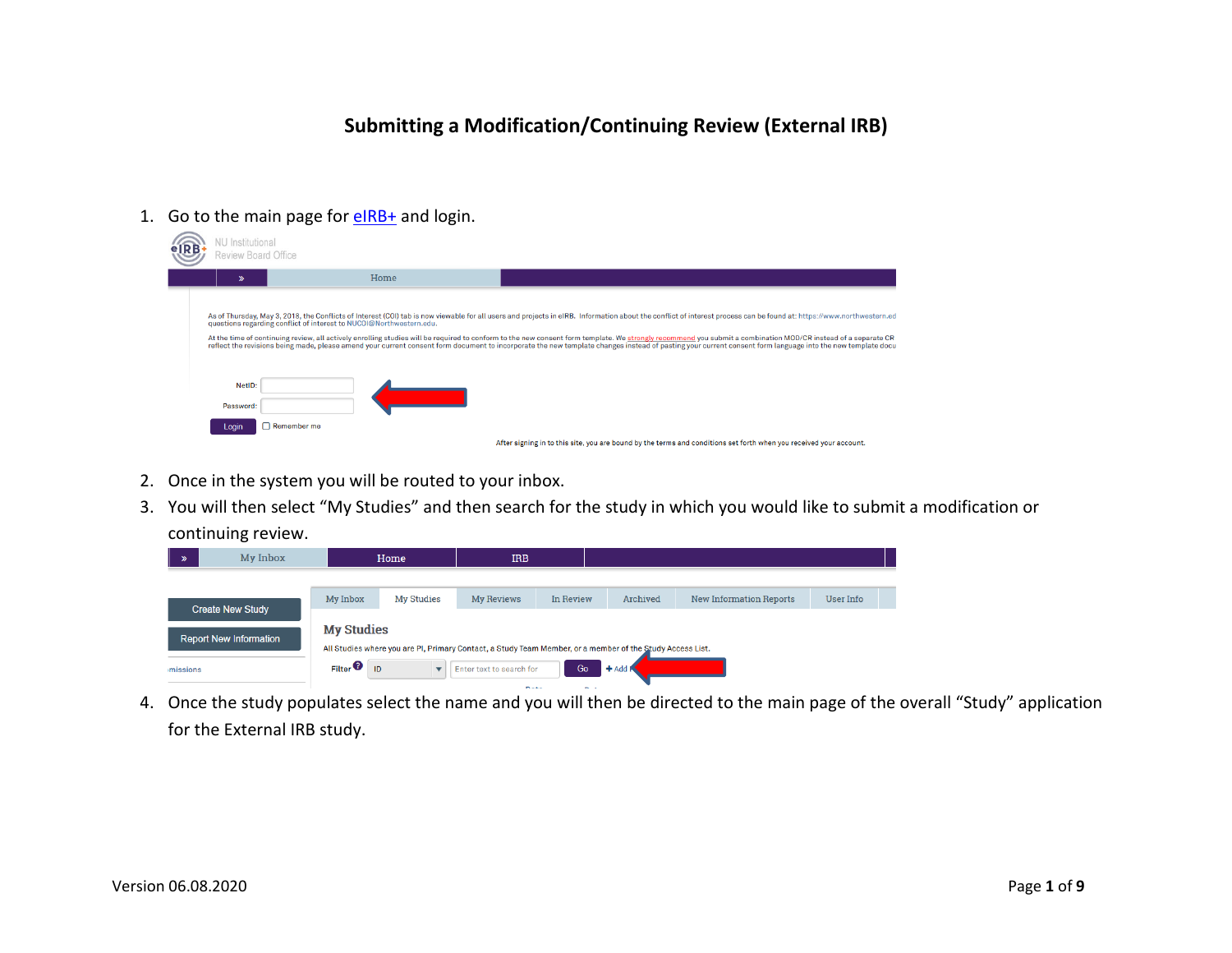# **Submitting a Modification/Continuing Review (External IRB)**

1. Go to the main page for **eIRB+** and login.

| <b>VU</b> Institutional<br>Review Board Office |                                                                     |                                                                                                                                                                                                                                                                                                                                                                                                                                                                                                                                                                                                                                                     |
|------------------------------------------------|---------------------------------------------------------------------|-----------------------------------------------------------------------------------------------------------------------------------------------------------------------------------------------------------------------------------------------------------------------------------------------------------------------------------------------------------------------------------------------------------------------------------------------------------------------------------------------------------------------------------------------------------------------------------------------------------------------------------------------------|
| $\gg$                                          | Home                                                                |                                                                                                                                                                                                                                                                                                                                                                                                                                                                                                                                                                                                                                                     |
|                                                | questions regarding conflict of interest to NUCOI@Northwestern.edu. | As of Thursday, May 3, 2018, the Conflicts of Interest (COI) tab is now viewable for all users and projects in eIRB. Information about the conflict of interest process can be found at: https://www.northwestern.ed<br>At the time of continuing review, all actively enrolling studies will be required to conform to the new consent form template. We strongly recommend you submit a combination MOD/CR instead of a separate CR<br>reflect the revisions being made, please amend your current consent form document to incorporate the new template changes instead of pasting your current consent form language into the new template docu |
| NetID:<br>Password:                            |                                                                     |                                                                                                                                                                                                                                                                                                                                                                                                                                                                                                                                                                                                                                                     |
| Login                                          | $\bigcap$ Remember me                                               |                                                                                                                                                                                                                                                                                                                                                                                                                                                                                                                                                                                                                                                     |
|                                                |                                                                     | After signing in to this site, you are bound by the terms and conditions set forth when you received your account.                                                                                                                                                                                                                                                                                                                                                                                                                                                                                                                                  |

- 2. Once in the system you will be routed to your inbox.
- 3. You will then select "My Studies" and then search for the study in which you would like to submit a modification or continuing review.

| $\mathcal{P}$ | My Inbox                      | Home                                                              |                         | <b>IRB</b>               |           |                                                                                                                        |                                |           |  |  |  |
|---------------|-------------------------------|-------------------------------------------------------------------|-------------------------|--------------------------|-----------|------------------------------------------------------------------------------------------------------------------------|--------------------------------|-----------|--|--|--|
|               |                               |                                                                   |                         |                          |           |                                                                                                                        |                                |           |  |  |  |
|               | <b>Create New Study</b>       | My Inbox                                                          | <b>My Studies</b>       | <b>My Reviews</b>        | In Review | Archived                                                                                                               | <b>New Information Reports</b> | User Info |  |  |  |
| imissions     | <b>Report New Information</b> | <b>My Studies</b><br>$Fitter$ <sup><math>\odot</math></sup><br>ID | $\overline{\mathbf{v}}$ | Enter text to search for | Go        | All Studies where you are PI, Primary Contact, a Study Team Member, or a member of the Study Access List.<br>$+$ Add I |                                |           |  |  |  |
|               |                               | __<br>__                                                          |                         |                          |           |                                                                                                                        |                                |           |  |  |  |

4. Once the study populates select the name and you will then be directed to the main page of the overall "Study" application for the External IRB study.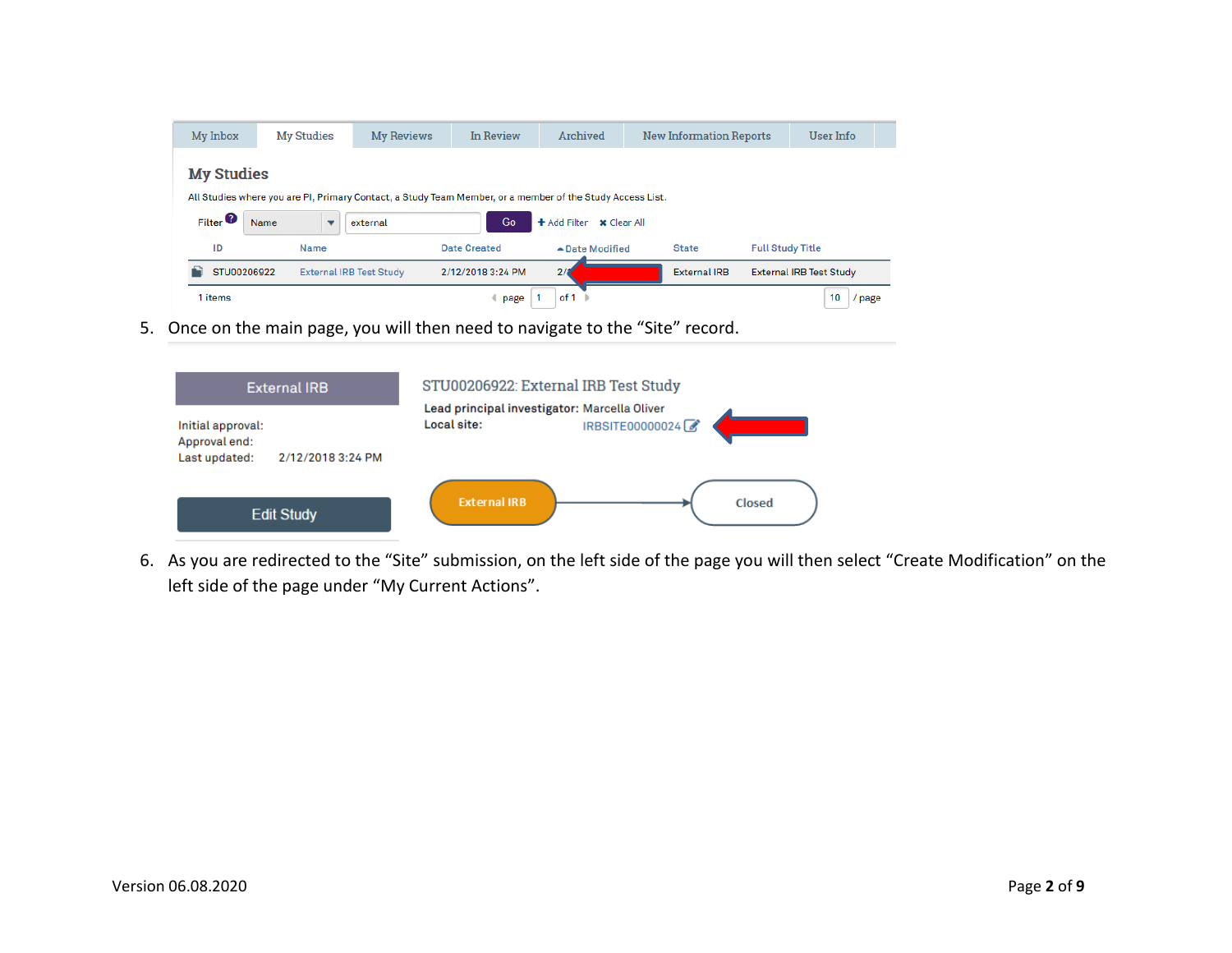| My Inbox                         | <b>My Studies</b>                                                                                         | <b>My Reviews</b>              | In Review           | Archived                 | <b>New Information Reports</b> | User Info                      |
|----------------------------------|-----------------------------------------------------------------------------------------------------------|--------------------------------|---------------------|--------------------------|--------------------------------|--------------------------------|
| <b>My Studies</b>                |                                                                                                           |                                |                     |                          |                                |                                |
|                                  | All Studies where you are PI, Primary Contact, a Study Team Member, or a member of the Study Access List. |                                |                     |                          |                                |                                |
| $Fitter$ <sup><sup>O</sup></sup> | Name<br>$\overline{\phantom{a}}$                                                                          | external                       | Go                  | + Add Filter x Clear All |                                |                                |
| ID                               | <b>Name</b>                                                                                               |                                | <b>Date Created</b> | ▲ Date Modified          | <b>State</b>                   | <b>Full Study Title</b>        |
| STU00206922                      |                                                                                                           | <b>External IRB Test Study</b> | 2/12/2018 3:24 PM   | 2/3                      | <b>External IRB</b>            | <b>External IRB Test Study</b> |
| 1 items                          |                                                                                                           |                                | page                | of 1                     |                                | 10<br>' page                   |

5. Once on the main page, you will then need to navigate to the "Site" record.



6. As you are redirected to the "Site" submission, on the left side of the page you will then select "Create Modification" on the left side of the page under "My Current Actions".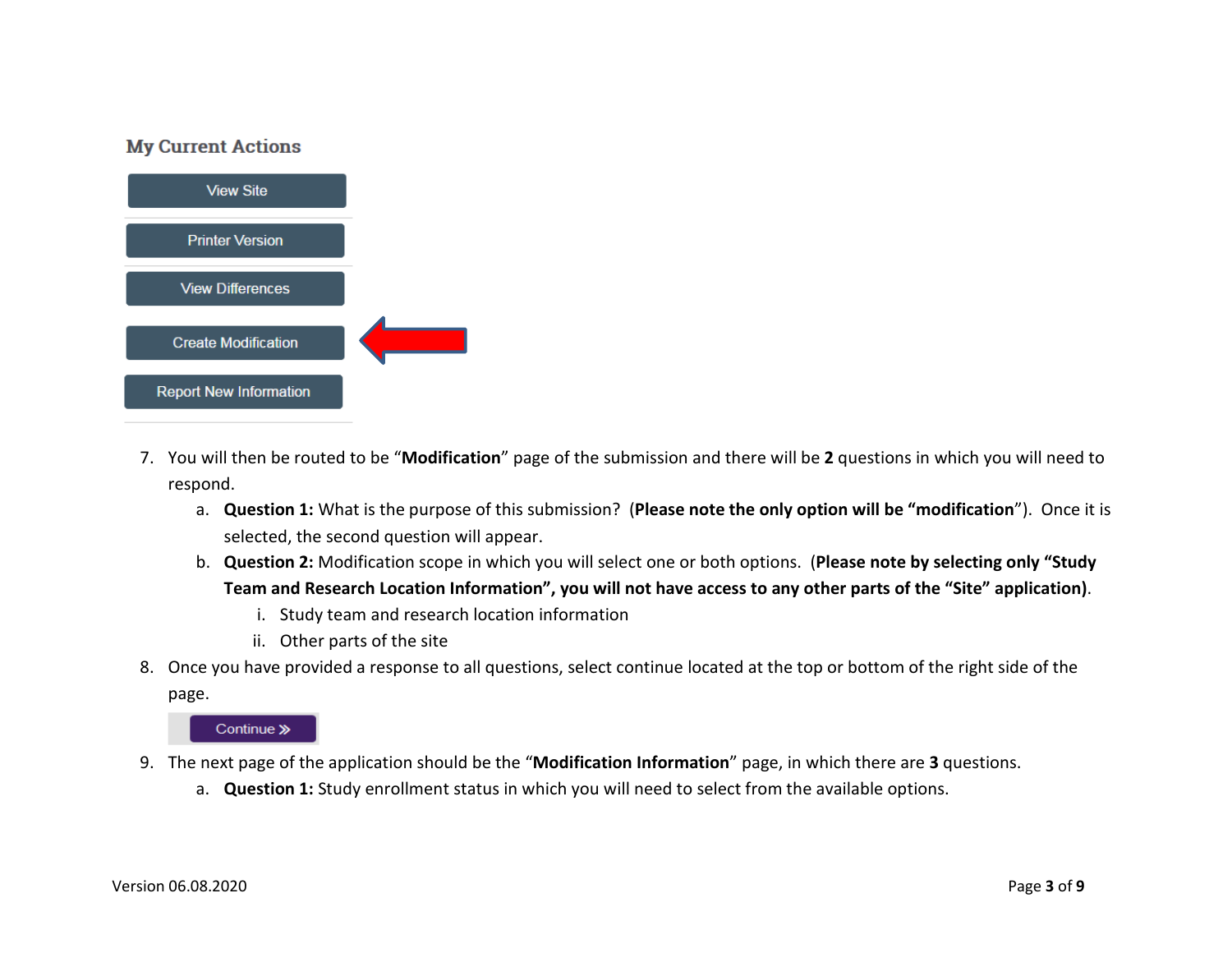### **My Current Actions**



- 7. You will then be routed to be "**Modification**" page of the submission and there will be **2** questions in which you will need to respond.
	- a. **Question 1:** What is the purpose of this submission? (**Please note the only option will be "modification**"). Once it is selected, the second question will appear.
	- b. **Question 2:** Modification scope in which you will select one or both options. (**Please note by selecting only "Study Team and Research Location Information", you will not have access to any other parts of the "Site" application)**.
		- i. Study team and research location information
		- ii. Other parts of the site
- 8. Once you have provided a response to all questions, select continue located at the top or bottom of the right side of the page.

Continue »

- 9. The next page of the application should be the "**Modification Information**" page, in which there are **3** questions.
	- a. **Question 1:** Study enrollment status in which you will need to select from the available options.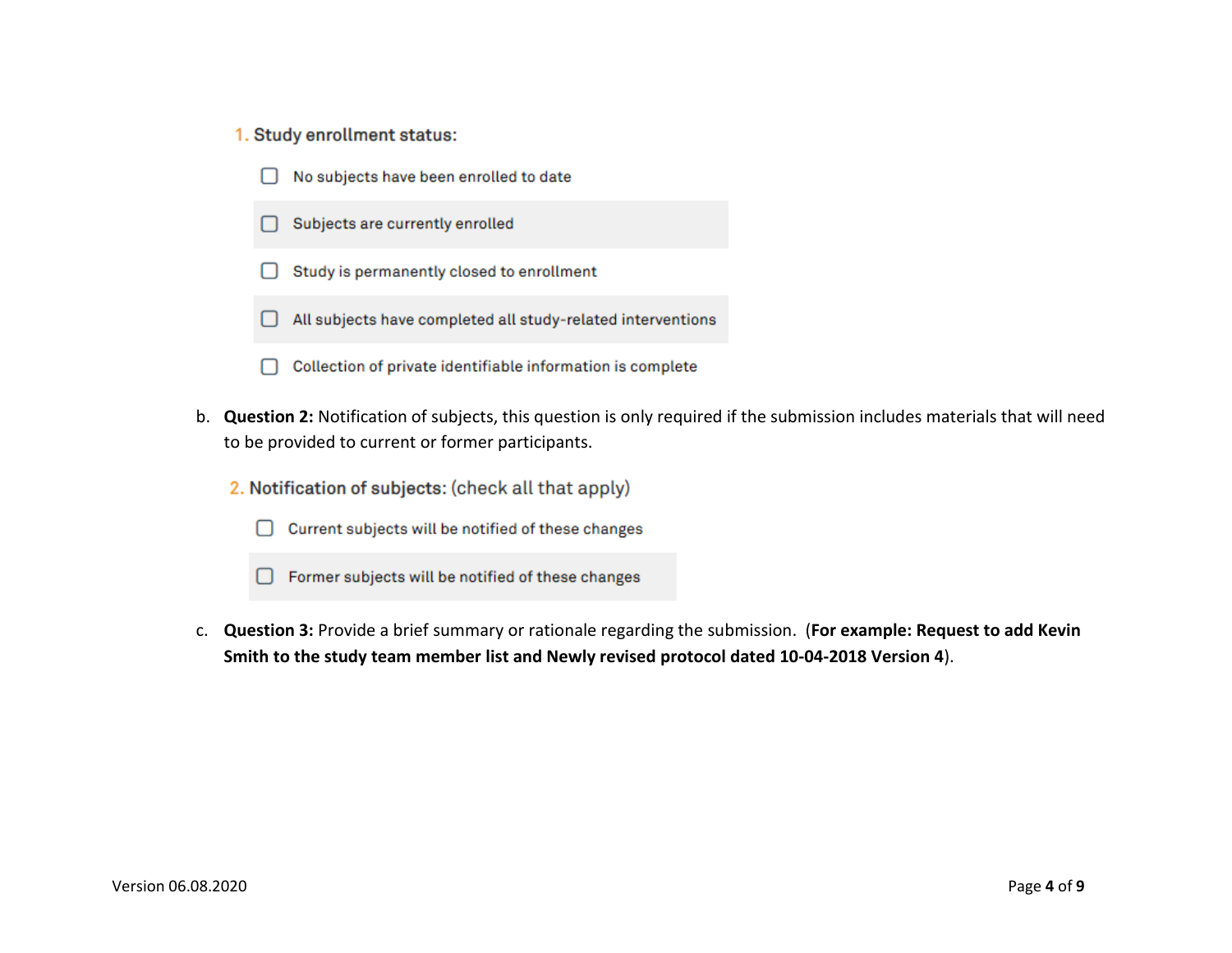#### 1. Study enrollment status:

- No subjects have been enrolled to date  $\Box$
- Subjects are currently enrolled
- Study is permanently closed to enrollment  $\Box$
- All subjects have completed all study-related interventions
- Collection of private identifiable information is complete ∩
- b. **Question 2:** Notification of subjects, this question is only required if the submission includes materials that will need to be provided to current or former participants.
	- 2. Notification of subjects: (check all that apply)
		- □ Current subjects will be notified of these changes
		- □ Former subjects will be notified of these changes
- c. **Question 3:** Provide a brief summary or rationale regarding the submission. (**For example: Request to add Kevin Smith to the study team member list and Newly revised protocol dated 10-04-2018 Version 4**).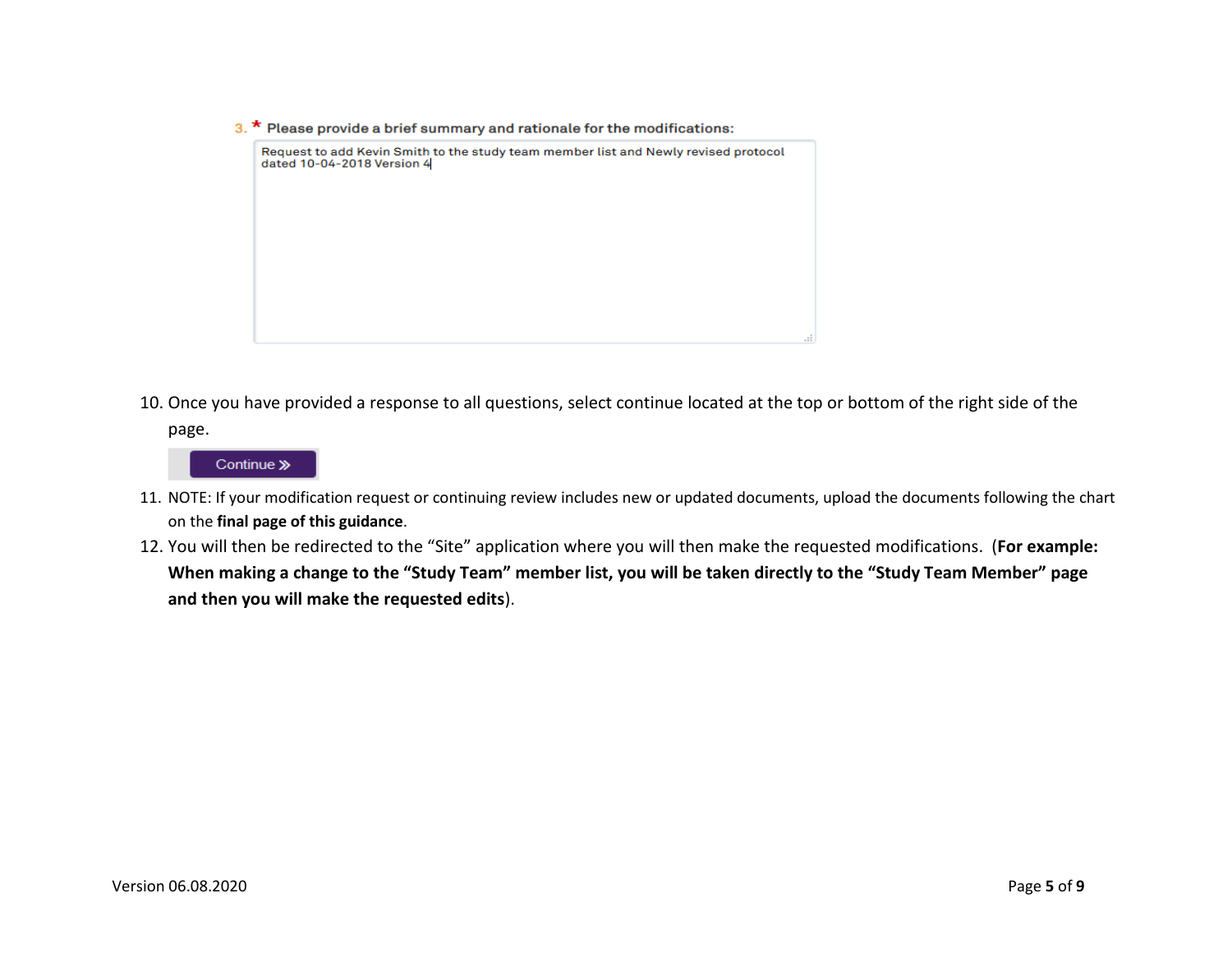$3.$  \* Please provide a brief summary and rationale for the modifications:



10. Once you have provided a response to all questions, select continue located at the top or bottom of the right side of the page.

### Continue »

- 11. NOTE: If your modification request or continuing review includes new or updated documents, upload the documents following the chart on the **final page of this guidance**.
- 12. You will then be redirected to the "Site" application where you will then make the requested modifications. (**For example: When making a change to the "Study Team" member list, you will be taken directly to the "Study Team Member" page and then you will make the requested edits**).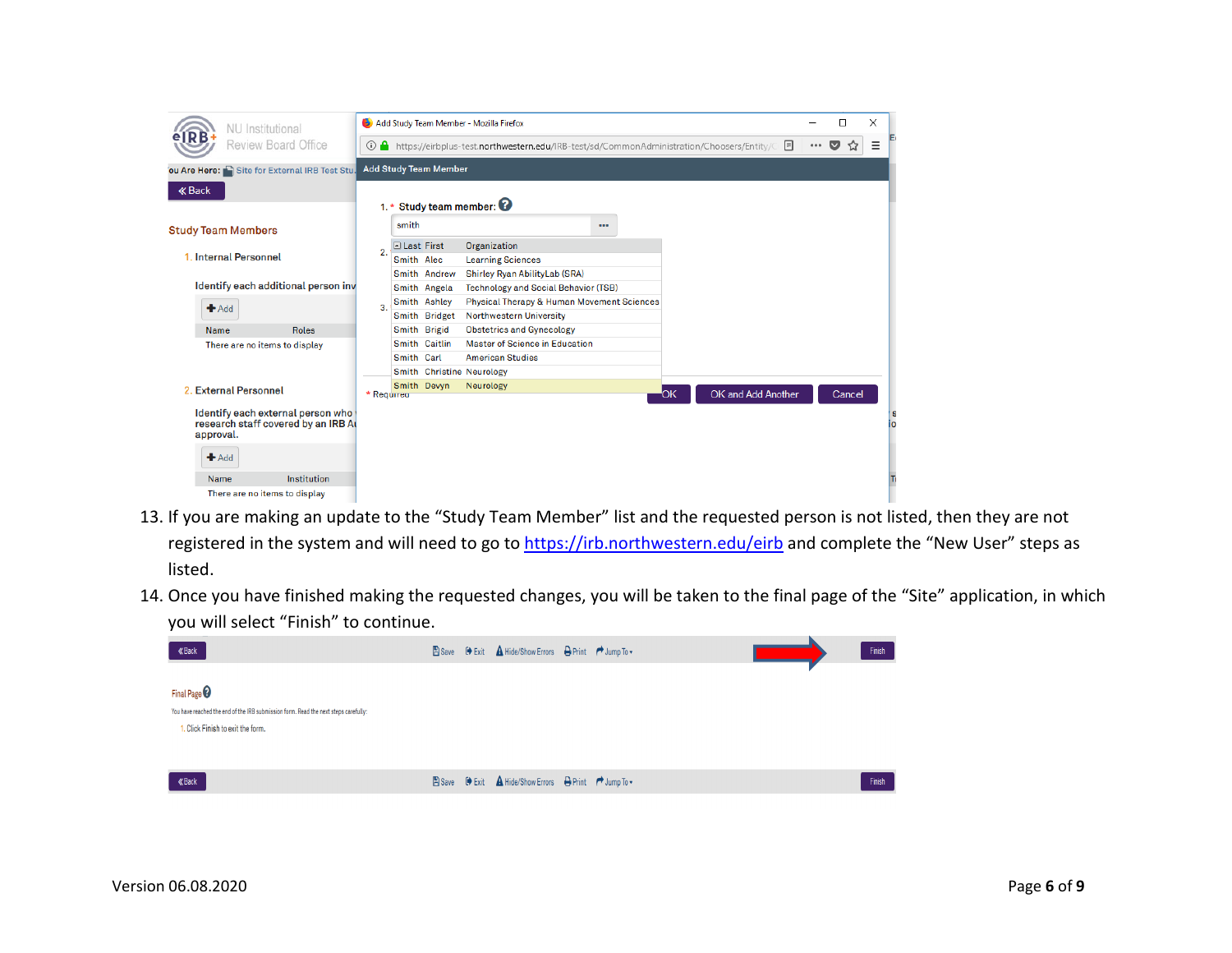| <b>NU</b> Institutional                                                               | Add Study Team Member - Mozilla Firefox |                                                                                                    |                                                       |  |  |     | □ | $\times$           |       |                |   |          |
|---------------------------------------------------------------------------------------|-----------------------------------------|----------------------------------------------------------------------------------------------------|-------------------------------------------------------|--|--|-----|---|--------------------|-------|----------------|---|----------|
| Review Board Office                                                                   |                                         | ① A https://eirbplus-test.northwestern.edu/IRB-test/sd/CommonAdministration/Choosers/Entity/C<br>圓 |                                                       |  |  |     |   |                    | 0.0.0 | $\bf\breve{~}$ | Ξ |          |
| ou Are Here: Site for External IRB Test Stu.                                          |                                         | <b>Add Study Team Member</b>                                                                       |                                                       |  |  |     |   |                    |       |                |   |          |
| <b>« Back</b>                                                                         |                                         |                                                                                                    |                                                       |  |  |     |   |                    |       |                |   |          |
|                                                                                       | 1. * Study team member: <sup>?</sup>    |                                                                                                    |                                                       |  |  |     |   |                    |       |                |   |          |
| <b>Study Team Members</b>                                                             |                                         | smith                                                                                              |                                                       |  |  |     |   |                    |       |                |   |          |
|                                                                                       | $\overline{2}$                          | □ Last First                                                                                       | Organization                                          |  |  |     |   |                    |       |                |   |          |
| 1. Internal Personnel                                                                 |                                         | Smith Alec                                                                                         | <b>Learning Sciences</b>                              |  |  |     |   |                    |       |                |   |          |
|                                                                                       |                                         | Smith Andrew                                                                                       | Shirley Ryan AbilityLab (SRA)                         |  |  |     |   |                    |       |                |   |          |
| Identify each additional person inv                                                   |                                         | Smith Angela                                                                                       | <b>Technology and Social Behavior (TSB)</b>           |  |  |     |   |                    |       |                |   |          |
|                                                                                       | 3.<br><b>Roles</b>                      | Smith Ashley                                                                                       | <b>Physical Therapy &amp; Human Movement Sciences</b> |  |  |     |   |                    |       |                |   |          |
| Add                                                                                   |                                         | Smith Bridget                                                                                      | <b>Northwestern University</b>                        |  |  |     |   |                    |       |                |   |          |
| Name                                                                                  |                                         | Smith Brigid                                                                                       | <b>Obstetrics and Gynecology</b>                      |  |  |     |   |                    |       |                |   |          |
| There are no items to display                                                         |                                         | Smith Caitlin                                                                                      | Master of Science in Education                        |  |  |     |   |                    |       |                |   |          |
|                                                                                       |                                         | Smith Carl                                                                                         | <b>American Studies</b>                               |  |  |     |   |                    |       |                |   |          |
|                                                                                       |                                         | Smith Christine Neurology                                                                          |                                                       |  |  |     |   |                    |       |                |   |          |
| 2. External Personnel                                                                 | * Required                              | Smith Devyn                                                                                        | Neurology                                             |  |  | "ОK |   | OK and Add Another |       | Cancel         |   |          |
|                                                                                       |                                         |                                                                                                    |                                                       |  |  |     |   |                    |       |                |   |          |
| Identify each external person who<br>research staff covered by an IRB At<br>approval. |                                         |                                                                                                    |                                                       |  |  |     |   |                    |       |                |   | £.<br>io |
| Add                                                                                   |                                         |                                                                                                    |                                                       |  |  |     |   |                    |       |                |   |          |
| Institution<br>Name                                                                   |                                         |                                                                                                    |                                                       |  |  |     |   |                    |       |                |   | Π        |
| There are no items to display                                                         |                                         |                                                                                                    |                                                       |  |  |     |   |                    |       |                |   |          |

- 13. If you are making an update to the "Study Team Member" list and the requested person is not listed, then they are not registered in the system and will need to go to<https://irb.northwestern.edu/eirb> and complete the "New User" steps as listed.
- 14. Once you have finished making the requested changes, you will be taken to the final page of the "Site" application, in which you will select "Finish" to continue.

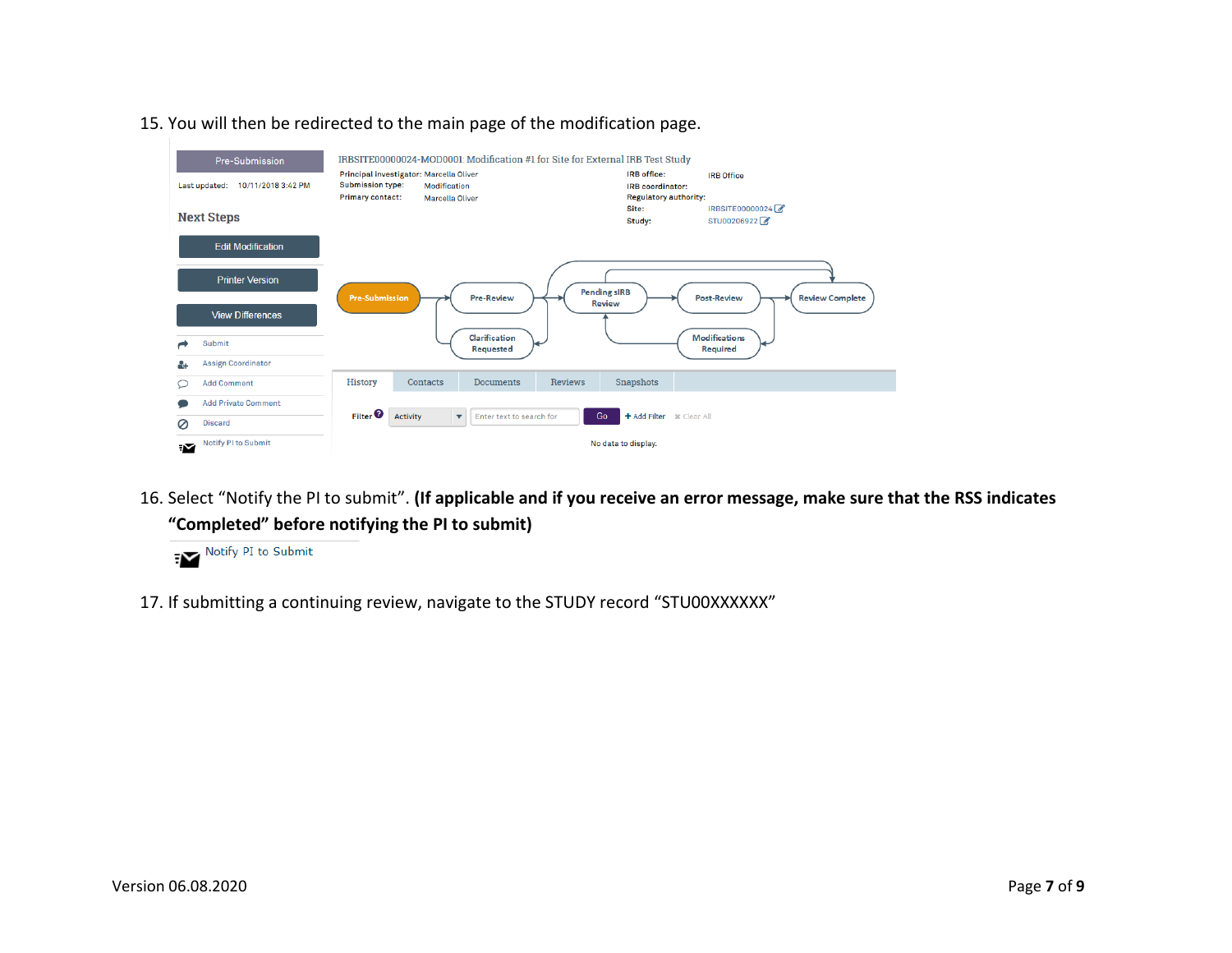

15. You will then be redirected to the main page of the modification page.

16. Select "Notify the PI to submit". **(If applicable and if you receive an error message, make sure that the RSS indicates "Completed" before notifying the PI to submit)**



17. If submitting a continuing review, navigate to the STUDY record "STU00XXXXXX"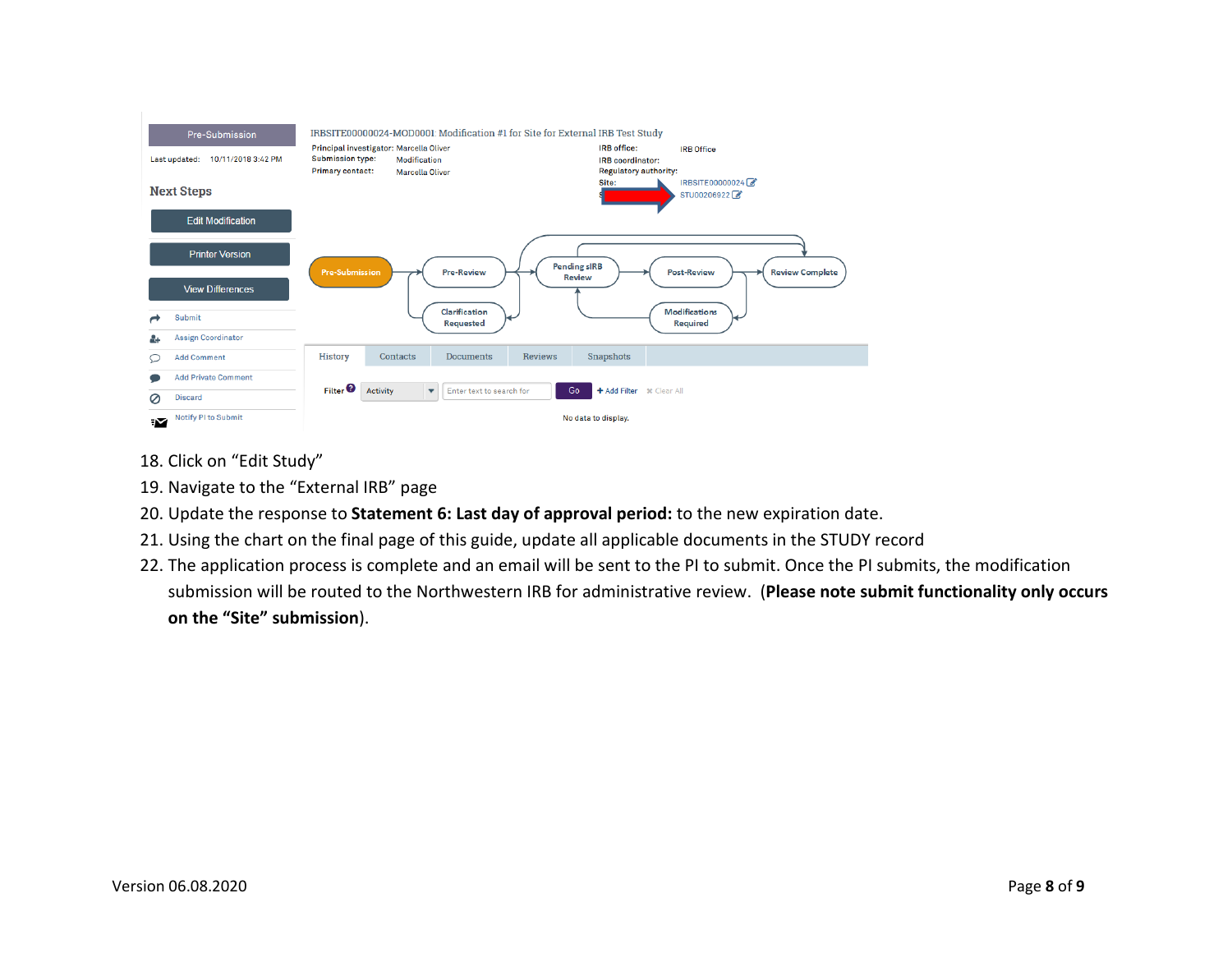

- 18. Click on "Edit Study"
- 19. Navigate to the "External IRB" page
- 20. Update the response to **Statement 6: Last day of approval period:** to the new expiration date.
- 21. Using the chart on the final page of this guide, update all applicable documents in the STUDY record
- 22. The application process is complete and an email will be sent to the PI to submit. Once the PI submits, the modification submission will be routed to the Northwestern IRB for administrative review. (**Please note submit functionality only occurs on the "Site" submission**).